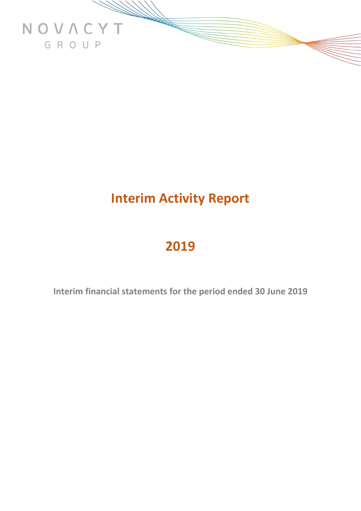

# **Interim Activity Report**

# **2019**

**Interim financial statements for the period ended 30 June 2019**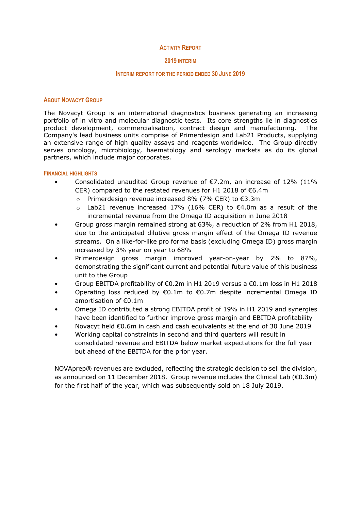#### **ACTIVITY REPORT**

#### **2019 INTERIM**

# **INTERIM REPORT FOR THE PERIOD ENDED 30 JUNE 2019**

#### **ABOUT NOVACYT GROUP**

The Novacyt Group is an international diagnostics business generating an increasing portfolio of in vitro and molecular diagnostic tests. Its core strengths lie in diagnostics product development, commercialisation, contract design and manufacturing. The Company's lead business units comprise of Primerdesign and Lab21 Products, supplying an extensive range of high quality assays and reagents worldwide. The Group directly serves oncology, microbiology, haematology and serology markets as do its global partners, which include major corporates.

#### **FINANCIAL HIGHLIGHTS**

- Consolidated unaudited Group revenue of  $E$ 7.2m, an increase of 12% (11% CER) compared to the restated revenues for H1 2018 of €6.4m
	- Primerdesign revenue increased 8% (7% CER) to  $\epsilon$ 3.3m
	- o Lab21 revenue increased 17% (16% CER) to €4.0m as a result of the incremental revenue from the Omega ID acquisition in June 2018
- Group gross margin remained strong at 63%, a reduction of 2% from H1 2018, due to the anticipated dilutive gross margin effect of the Omega ID revenue streams. On a like-for-like pro forma basis (excluding Omega ID) gross margin increased by 3% year on year to 68%
- Primerdesign gross margin improved year-on-year by 2% to 87%, demonstrating the significant current and potential future value of this business unit to the Group
- Group EBITDA profitability of €0.2m in H1 2019 versus a €0.1m loss in H1 2018
- Operating loss reduced by €0.1m to €0.7m despite incremental Omega ID amortisation of €0.1m
- Omega ID contributed a strong EBITDA profit of 19% in H1 2019 and synergies have been identified to further improve gross margin and EBITDA profitability
- Novacyt held €0.6m in cash and cash equivalents at the end of 30 June 2019
- Working capital constraints in second and third quarters will result in consolidated revenue and EBITDA below market expectations for the full year but ahead of the EBITDA for the prior year.

NOVAprep® revenues are excluded, reflecting the strategic decision to sell the division, as announced on 11 December 2018. Group revenue includes the Clinical Lab (€0.3m) for the first half of the year, which was subsequently sold on 18 July 2019.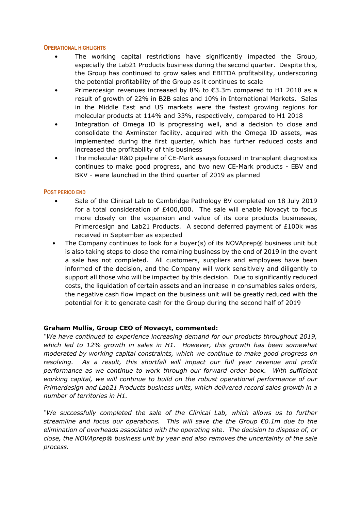### **OPERATIONAL HIGHLIGHTS**

- The working capital restrictions have significantly impacted the Group, especially the Lab21 Products business during the second quarter. Despite this, the Group has continued to grow sales and EBITDA profitability, underscoring the potential profitability of the Group as it continues to scale
- Primerdesign revenues increased by 8% to  $\epsilon$ 3.3m compared to H1 2018 as a result of growth of 22% in B2B sales and 10% in International Markets. Sales in the Middle East and US markets were the fastest growing regions for molecular products at 114% and 33%, respectively, compared to H1 2018
- Integration of Omega ID is progressing well, and a decision to close and consolidate the Axminster facility, acquired with the Omega ID assets, was implemented during the first quarter, which has further reduced costs and increased the profitability of this business
- The molecular R&D pipeline of CE-Mark assays focused in transplant diagnostics continues to make good progress, and two new CE-Mark products - EBV and BKV - were launched in the third quarter of 2019 as planned

# **POST PERIOD END**

- Sale of the Clinical Lab to Cambridge Pathology BV completed on 18 July 2019 for a total consideration of £400,000. The sale will enable Novacyt to focus more closely on the expansion and value of its core products businesses, Primerdesign and Lab21 Products. A second deferred payment of £100k was received in September as expected
- The Company continues to look for a buyer(s) of its NOVAprep® business unit but is also taking steps to close the remaining business by the end of 2019 in the event a sale has not completed. All customers, suppliers and employees have been informed of the decision, and the Company will work sensitively and diligently to support all those who will be impacted by this decision. Due to significantly reduced costs, the liquidation of certain assets and an increase in consumables sales orders, the negative cash flow impact on the business unit will be greatly reduced with the potential for it to generate cash for the Group during the second half of 2019

# **Graham Mullis, Group CEO of Novacyt, commented:**

*"We have continued to experience increasing demand for our products throughout 2019, which led to 12% growth in sales in H1. However, this growth has been somewhat moderated by working capital constraints, which we continue to make good progress on resolving. As a result, this shortfall will impact our full year revenue and profit performance as we continue to work through our forward order book. With sufficient working capital, we will continue to build on the robust operational performance of our Primerdesign and Lab21 Products business units, which delivered record sales growth in a number of territories in H1.*

*"We successfully completed the sale of the Clinical Lab, which allows us to further streamline and focus our operations. This will save the the Group €0.1m due to the elimination of overheads associated with the operating site. The decision to dispose of, or close, the NOVAprep® business unit by year end also removes the uncertainty of the sale process.*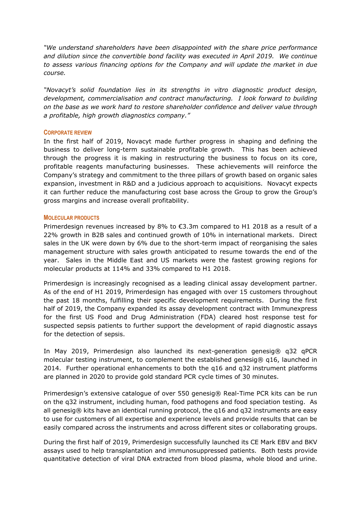*"We understand shareholders have been disappointed with the share price performance and dilution since the convertible bond facility was executed in April 2019. We continue to assess various financing options for the Company and will update the market in due course.*

*"Novacyt's solid foundation lies in its strengths in vitro diagnostic product design, development, commercialisation and contract manufacturing. I look forward to building on the base as we work hard to restore shareholder confidence and deliver value through a profitable, high growth diagnostics company."* 

# **CORPORATE REVIEW**

In the first half of 2019, Novacyt made further progress in shaping and defining the business to deliver long-term sustainable profitable growth. This has been achieved through the progress it is making in restructuring the business to focus on its core, profitable reagents manufacturing businesses. These achievements will reinforce the Company's strategy and commitment to the three pillars of growth based on organic sales expansion, investment in R&D and a judicious approach to acquisitions. Novacyt expects it can further reduce the manufacturing cost base across the Group to grow the Group's gross margins and increase overall profitability.

# **MOLECULAR PRODUCTS**

Primerdesign revenues increased by 8% to  $\epsilon$ 3.3m compared to H1 2018 as a result of a 22% growth in B2B sales and continued growth of 10% in international markets. Direct sales in the UK were down by 6% due to the short-term impact of reorganising the sales management structure with sales growth anticipated to resume towards the end of the year. Sales in the Middle East and US markets were the fastest growing regions for molecular products at 114% and 33% compared to H1 2018.

Primerdesign is increasingly recognised as a leading clinical assay development partner. As of the end of H1 2019, Primerdesign has engaged with over 15 customers throughout the past 18 months, fulfilling their specific development requirements. During the first half of 2019, the Company expanded its assay development contract with Immunexpress for the first US Food and Drug Administration (FDA) cleared host response test for suspected sepsis patients to further support the development of rapid diagnostic assays for the detection of sepsis.

In May 2019, Primerdesign also launched its next-generation genesig® q32 qPCR molecular testing instrument, to complement the established genesig® q16, launched in 2014. Further operational enhancements to both the q16 and q32 instrument platforms are planned in 2020 to provide gold standard PCR cycle times of 30 minutes.

Primerdesign's extensive catalogue of over 550 genesig® Real-Time PCR kits can be run on the q32 instrument, including human, food pathogens and food speciation testing. As all genesig® kits have an identical running protocol, the q16 and q32 instruments are easy to use for customers of all expertise and experience levels and provide results that can be easily compared across the instruments and across different sites or collaborating groups.

During the first half of 2019, Primerdesign successfully launched its CE Mark EBV and BKV assays used to help transplantation and immunosuppressed patients. Both tests provide quantitative detection of viral DNA extracted from blood plasma, whole blood and urine.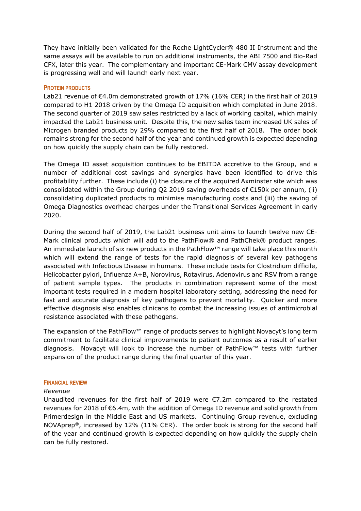They have initially been validated for the Roche LightCycler® 480 II Instrument and the same assays will be available to run on additional instruments, the ABI 7500 and Bio-Rad CFX, later this year. The complementary and important CE-Mark CMV assay development is progressing well and will launch early next year.

# **PROTEIN PRODUCTS**

Lab21 revenue of €4.0m demonstrated growth of 17% (16% CER) in the first half of 2019 compared to H1 2018 driven by the Omega ID acquisition which completed in June 2018. The second quarter of 2019 saw sales restricted by a lack of working capital, which mainly impacted the Lab21 business unit. Despite this, the new sales team increased UK sales of Microgen branded products by 29% compared to the first half of 2018. The order book remains strong for the second half of the year and continued growth is expected depending on how quickly the supply chain can be fully restored.

The Omega ID asset acquisition continues to be EBITDA accretive to the Group, and a number of additional cost savings and synergies have been identified to drive this profitability further. These include (i) the closure of the acquired Axminster site which was consolidated within the Group during Q2 2019 saving overheads of €150k per annum, (ii) consolidating duplicated products to minimise manufacturing costs and (iii) the saving of Omega Diagnostics overhead charges under the Transitional Services Agreement in early 2020.

During the second half of 2019, the Lab21 business unit aims to launch twelve new CE-Mark clinical products which will add to the PathFlow® and PathChek® product ranges. An immediate launch of six new products in the PathFlow™ range will take place this month which will extend the range of tests for the rapid diagnosis of several key pathogens associated with Infectious Disease in humans. These include tests for Clostridium difficile, Helicobacter pylori, Influenza A+B, Norovirus, Rotavirus, Adenovirus and RSV from a range of patient sample types. The products in combination represent some of the most important tests required in a modern hospital laboratory setting, addressing the need for fast and accurate diagnosis of key pathogens to prevent mortality. Quicker and more effective diagnosis also enables clinicans to combat the increasing issues of antimicrobial resistance associated with these pathogens.

The expansion of the PathFlow™ range of products serves to highlight Novacyt's long term commitment to facilitate clinical improvements to patient outcomes as a result of earlier diagnosis. Novacyt will look to increase the number of PathFlow™ tests with further expansion of the product range during the final quarter of this year.

#### **FINANCIAL REVIEW**

#### *Revenue*

Unaudited revenues for the first half of 2019 were €7.2m compared to the restated revenues for 2018 of €6.4m, with the addition of Omega ID revenue and solid growth from Primerdesign in the Middle East and US markets. Continuing Group revenue, excluding NOVAprep®, increased by 12% (11% CER). The order book is strong for the second half of the year and continued growth is expected depending on how quickly the supply chain can be fully restored.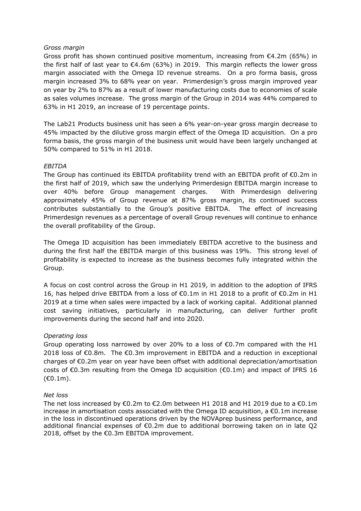# *Gross margin*

Gross profit has shown continued positive momentum, increasing from  $E4.2m$  (65%) in the first half of last year to  $\epsilon$ 4.6m (63%) in 2019. This margin reflects the lower gross margin associated with the Omega ID revenue streams. On a pro forma basis, gross margin increased 3% to 68% year on year. Primerdesign's gross margin improved year on year by 2% to 87% as a result of lower manufacturing costs due to economies of scale as sales volumes increase. The gross margin of the Group in 2014 was 44% compared to 63% in H1 2019, an increase of 19 percentage points.

The Lab21 Products business unit has seen a 6% year-on-year gross margin decrease to 45% impacted by the dilutive gross margin effect of the Omega ID acquisition. On a pro forma basis, the gross margin of the business unit would have been largely unchanged at 50% compared to 51% in H1 2018.

# *EBITDA*

The Group has continued its EBITDA profitability trend with an EBITDA profit of  $\epsilon$ 0.2m in the first half of 2019, which saw the underlying Primerdesign EBITDA margin increase to over 40% before Group management charges. With Primerdesign delivering approximately 45% of Group revenue at 87% gross margin, its continued success contributes substantially to the Group's positive EBITDA. The effect of increasing Primerdesign revenues as a percentage of overall Group revenues will continue to enhance the overall profitability of the Group.

The Omega ID acquisition has been immediately EBITDA accretive to the business and during the first half the EBITDA margin of this business was 19%. This strong level of profitability is expected to increase as the business becomes fully integrated within the Group.

A focus on cost control across the Group in H1 2019, in addition to the adoption of IFRS 16, has helped drive EBITDA from a loss of €0.1m in H1 2018 to a profit of €0.2m in H1 2019 at a time when sales were impacted by a lack of working capital. Additional planned cost saving initiatives, particularly in manufacturing, can deliver further profit improvements during the second half and into 2020.

# *Operating loss*

Group operating loss narrowed by over 20% to a loss of €0.7m compared with the H1 2018 loss of €0.8m. The €0.3m improvement in EBITDA and a reduction in exceptional charges of €0.2m year on year have been offset with additional depreciation/amortisation costs of  $\epsilon$ 0.3m resulting from the Omega ID acquisition ( $\epsilon$ 0.1m) and impact of IFRS 16 (€0.1m).

# *Net loss*

The net loss increased by  $\epsilon$ 0.2m to  $\epsilon$ 2.0m between H1 2018 and H1 2019 due to a  $\epsilon$ 0.1m increase in amortisation costs associated with the Omega ID acquisition, a  $\epsilon$ 0.1m increase in the loss in discontinued operations driven by the NOVAprep business performance, and additional financial expenses of €0.2m due to additional borrowing taken on in late Q2 2018, offset by the €0.3m EBITDA improvement.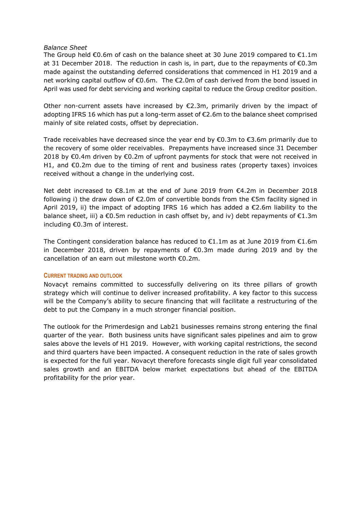# *Balance Sheet*

The Group held  $\epsilon$ 0.6m of cash on the balance sheet at 30 June 2019 compared to  $\epsilon$ 1.1m at 31 December 2018. The reduction in cash is, in part, due to the repayments of  $\epsilon$ 0.3m made against the outstanding deferred considerations that commenced in H1 2019 and a net working capital outflow of €0.6m. The €2.0m of cash derived from the bond issued in April was used for debt servicing and working capital to reduce the Group creditor position.

Other non-current assets have increased by  $\epsilon$ 2.3m, primarily driven by the impact of adopting IFRS 16 which has put a long-term asset of €2.6m to the balance sheet comprised mainly of site related costs, offset by depreciation.

Trade receivables have decreased since the year end by  $\epsilon$ 0.3m to  $\epsilon$ 3.6m primarily due to the recovery of some older receivables. Prepayments have increased since 31 December 2018 by  $\epsilon$ 0.4m driven by  $\epsilon$ 0.2m of upfront payments for stock that were not received in H1, and  $\epsilon$ 0.2m due to the timing of rent and business rates (property taxes) invoices received without a change in the underlying cost.

Net debt increased to €8.1m at the end of June 2019 from €4.2m in December 2018 following i) the draw down of €2.0m of convertible bonds from the €5m facility signed in April 2019, ii) the impact of adopting IFRS 16 which has added a  $\epsilon$ 2.6m liability to the balance sheet, iii) a  $\epsilon$ 0.5m reduction in cash offset by, and iv) debt repayments of  $\epsilon$ 1.3m including €0.3m of interest.

The Contingent consideration balance has reduced to  $\epsilon$ 1.1m as at June 2019 from  $\epsilon$ 1.6m in December 2018, driven by repayments of €0.3m made during 2019 and by the cancellation of an earn out milestone worth €0.2m.

# **CURRENT TRADING AND OUTLOOK**

Novacyt remains committed to successfully delivering on its three pillars of growth strategy which will continue to deliver increased profitability. A key factor to this success will be the Company's ability to secure financing that will facilitate a restructuring of the debt to put the Company in a much stronger financial position.

The outlook for the Primerdesign and Lab21 businesses remains strong entering the final quarter of the year. Both business units have significant sales pipelines and aim to grow sales above the levels of H1 2019. However, with working capital restrictions, the second and third quarters have been impacted. A consequent reduction in the rate of sales growth is expected for the full year. Novacyt therefore forecasts single digit full year consolidated sales growth and an EBITDA below market expectations but ahead of the EBITDA profitability for the prior year.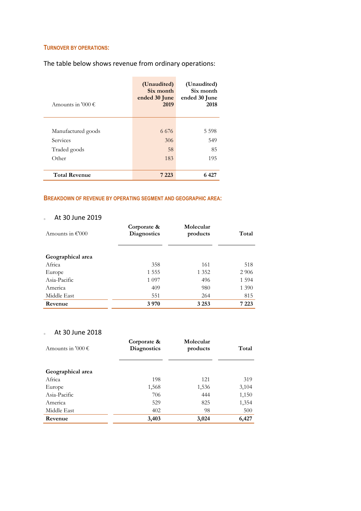# **TURNOVER BY OPERATIONS:**

The table below shows revenue from ordinary operations:

| Amounts in '000 $\epsilon$ | (Unaudited)<br>Six month<br>ended 30 June<br>2019 | (Unaudited)<br>Six month<br>ended 30 June<br>2018 |
|----------------------------|---------------------------------------------------|---------------------------------------------------|
|                            |                                                   |                                                   |
| Manufactured goods         | 6 6 7 6                                           | 5 5 9 8                                           |
| Services                   | 306                                               | 549                                               |
| Traded goods               | 58                                                | 85                                                |
| Other                      | 183                                               | 195                                               |
| <b>Total Revenue</b>       | 7 223                                             | 6 427                                             |

# **BREAKDOWN OF REVENUE BY OPERATING SEGMENT AND GEOGRAPHIC AREA:**

# o At 30 June 2019

| Amounts in $\epsilon$ '000 | Corporate &<br><b>Diagnostics</b> | Molecular<br>products | Total   |
|----------------------------|-----------------------------------|-----------------------|---------|
| Geographical area          |                                   |                       |         |
| Africa                     | 358                               | 161                   | 518     |
| Europe                     | 1 5 5 5                           | 1 3 5 2               | 2 9 0 6 |
| Asia-Pacific               | 1 0 9 7                           | 496                   | 1 5 9 4 |
| America                    | 409                               | 980                   | 1 3 9 0 |
| Middle East                | 551                               | 264                   | 815     |
| Revenue                    | 3970                              | 3 2 5 3               | 7 223   |

# o At 30 June 2018

| Amounts in '000 $\epsilon$ | Corporate &<br><b>Diagnostics</b> | Molecular<br>products | Total |
|----------------------------|-----------------------------------|-----------------------|-------|
| Geographical area          |                                   |                       |       |
| Africa                     | 198                               | 121                   | 319   |
| Europe                     | 1,568                             | 1,536                 | 3,104 |
| Asia-Pacific               | 706                               | 444                   | 1,150 |
| America                    | 529                               | 825                   | 1,354 |
| Middle East                | 402                               | 98                    | 500   |
| Revenue                    | 3,403                             | 3,024                 | 6,427 |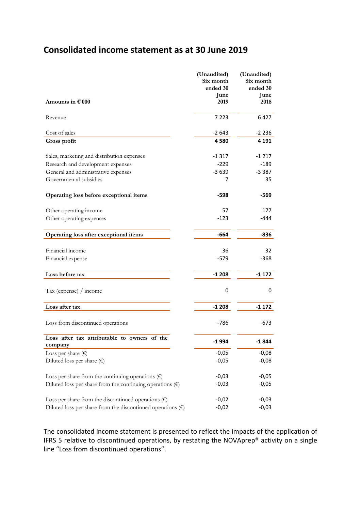# **Consolidated income statement as at 30 June 2019**

|                                                                      | (Unaudited)           | (Unaudited)           |
|----------------------------------------------------------------------|-----------------------|-----------------------|
|                                                                      | Six month<br>ended 30 | Six month<br>ended 30 |
|                                                                      | June                  | June                  |
| Amounts in $\mathbf{\mathfrak{C}}'$ 000                              | 2019                  | 2018                  |
| Revenue                                                              | 7 2 2 3               | 6427                  |
| Cost of sales                                                        | $-2643$               | $-2236$               |
| Gross profit                                                         | 4580                  | 4 1 9 1               |
| Sales, marketing and distribution expenses                           | $-1317$               | $-1217$               |
| Research and development expenses                                    | $-229$                | $-189$                |
| General and administrative expenses                                  | $-3639$               | $-3387$               |
| Governmental subsidies                                               | 7                     | 35                    |
| Operating loss before exceptional items                              | $-598$                | -569                  |
| Other operating income                                               | 57                    | 177                   |
| Other operating expenses                                             | $-123$                | -444                  |
| Operating loss after exceptional items                               | -664                  | -836                  |
| Financial income                                                     | 36                    | 32                    |
| Financial expense                                                    | $-579$                | $-368$                |
|                                                                      |                       |                       |
| Loss before tax                                                      | $-1208$               | $-1172$               |
| Tax (expense) / income                                               | 0                     | 0                     |
| Loss after tax                                                       | $-1208$               | $-1172$               |
| Loss from discontinued operations                                    | $-786$                | -673                  |
| Loss after tax attributable to owners of the<br>company              | $-1994$               | -1 844                |
| Loss per share $(\epsilon)$                                          | $-0,05$               | $-0,08$               |
| Diluted loss per share $(\epsilon)$                                  | $-0,05$               | $-0,08$               |
| Loss per share from the continuing operations $(\epsilon)$           | $-0,03$               | $-0,05$               |
| Diluted loss per share from the continuing operations $(\epsilon)$   | $-0,03$               | $-0,05$               |
| Loss per share from the discontinued operations $(\epsilon)$         | $-0,02$               | $-0,03$               |
| Diluted loss per share from the discontinued operations $(\epsilon)$ | $-0,02$               | $-0,03$               |

The consolidated income statement is presented to reflect the impacts of the application of IFRS 5 relative to discontinued operations, by restating the NOVAprep® activity on a single line "Loss from discontinued operations".